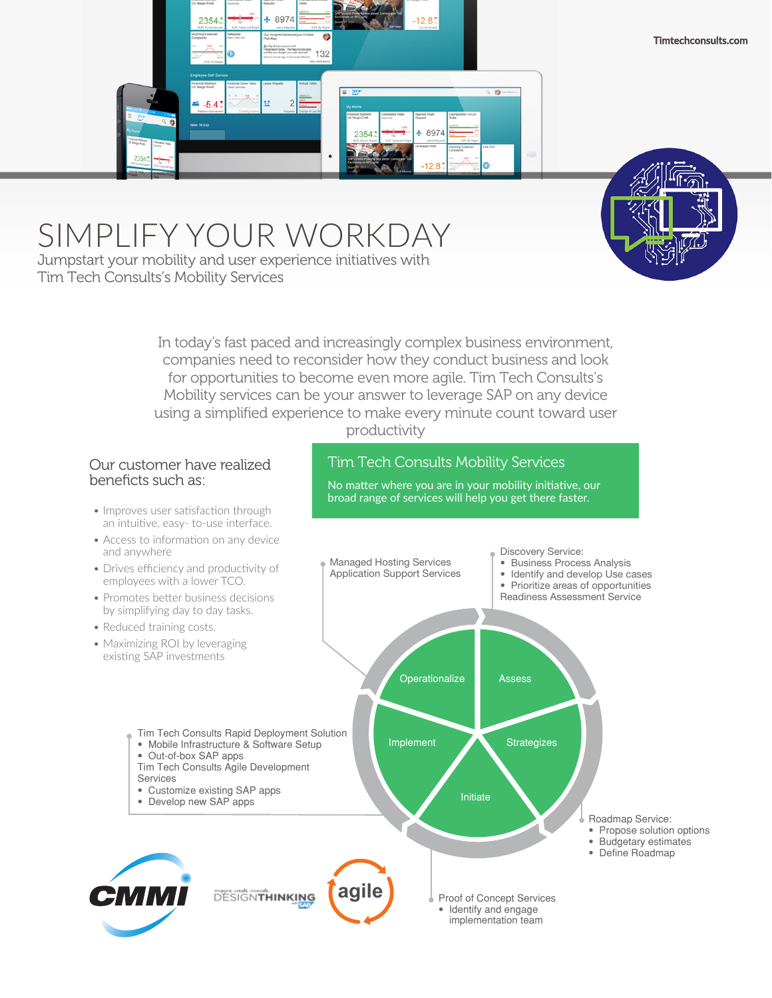



# SIMPLIFY YOUR WORKDAY

Jumpstart your mobility and user experience initiatives with Tim Tech Consults's Mobility Services

> In today's fast paced and increasingly complex business environment, companies need to reconsider how they conduct business and look for opportunities to become even more agile. Tim Tech Consults's Mobility services can be your answer to leverage SAP on any device using a simplified experience to make every minute count toward user productivity

### Our customer have realized beneficts such as:

- Improves user satisfaction through an intuitive, easy- to-use interface.
- Access to information on any device and anywhere

## Tim Tech Consults Mobility Services

No matter where you are in your mobility initiative, our broad range of services will help you get there faster.